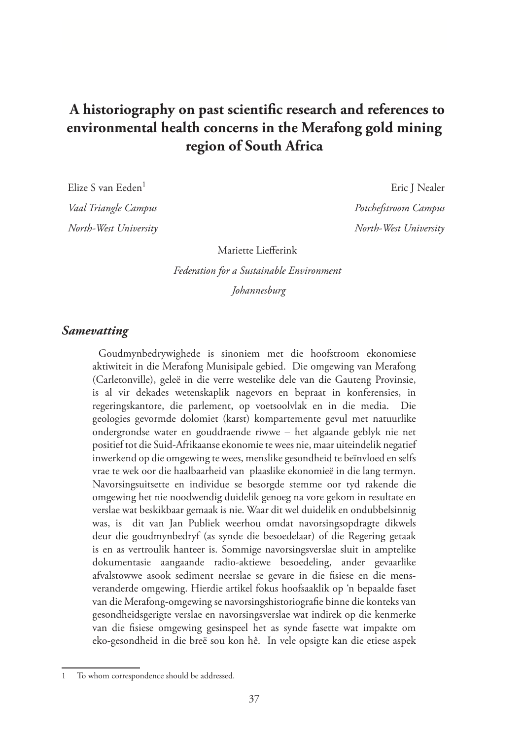# **A historiography on past scientific research and references to environmental health concerns in the Merafong gold mining region of South Africa**

*Vaal Triangle Campus Potchefstroom Campus North-West University North-West University*

Elize S van Eeden<sup>1</sup> Eric J Nealer

Mariette Liefferink

*Federation for a Sustainable Environment*

 *Johannesburg*

#### *Samevatting*

Goudmynbedrywighede is sinoniem met die hoofstroom ekonomiese aktiwiteit in die Merafong Munisipale gebied. Die omgewing van Merafong (Carletonville), geleë in die verre westelike dele van die Gauteng Provinsie, is al vir dekades wetenskaplik nagevors en bepraat in konferensies, in regeringskantore, die parlement, op voetsoolvlak en in die media. Die geologies gevormde dolomiet (karst) kompartemente gevul met natuurlike ondergrondse water en gouddraende riwwe – het algaande geblyk nie net positief tot die Suid-Afrikaanse ekonomie te wees nie, maar uiteindelik negatief inwerkend op die omgewing te wees, menslike gesondheid te beïnvloed en selfs vrae te wek oor die haalbaarheid van plaaslike ekonomieë in die lang termyn. Navorsingsuitsette en individue se besorgde stemme oor tyd rakende die omgewing het nie noodwendig duidelik genoeg na vore gekom in resultate en verslae wat beskikbaar gemaak is nie. Waar dit wel duidelik en ondubbelsinnig was, is dit van Jan Publiek weerhou omdat navorsingsopdragte dikwels deur die goudmynbedryf (as synde die besoedelaar) of die Regering getaak is en as vertroulik hanteer is. Sommige navorsingsverslae sluit in amptelike dokumentasie aangaande radio-aktiewe besoedeling, ander gevaarlike afvalstowwe asook sediment neerslae se gevare in die fisiese en die mensveranderde omgewing. Hierdie artikel fokus hoofsaaklik op 'n bepaalde faset van die Merafong-omgewing se navorsingshistoriografie binne die konteks van gesondheidsgerigte verslae en navorsingsverslae wat indirek op die kenmerke van die fisiese omgewing gesinspeel het as synde fasette wat impakte om eko-gesondheid in die breë sou kon hê. In vele opsigte kan die etiese aspek

To whom correspondence should be addressed.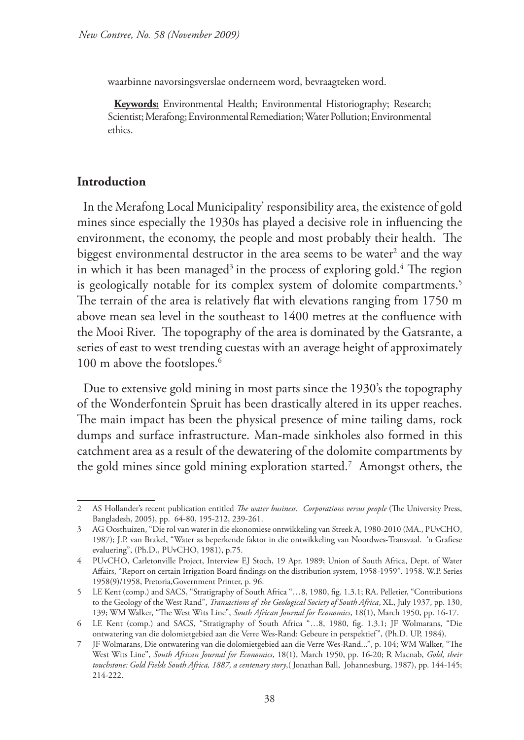waarbinne navorsingsverslae onderneem word, bevraagteken word.

**Keywords:** Environmental Health; Environmental Historiography; Research; Scientist; Merafong; Environmental Remediation; Water Pollution; Environmental ethics.

### **Introduction**

In the Merafong Local Municipality' responsibility area, the existence of gold mines since especially the 1930s has played a decisive role in influencing the environment, the economy, the people and most probably their health. The biggest environmental destructor in the area seems to be water<sup>2</sup> and the way in which it has been managed<sup>3</sup> in the process of exploring gold.<sup>4</sup> The region is geologically notable for its complex system of dolomite compartments.<sup>5</sup> The terrain of the area is relatively flat with elevations ranging from 1750 m above mean sea level in the southeast to 1400 metres at the confluence with the Mooi River. The topography of the area is dominated by the Gatsrante, a series of east to west trending cuestas with an average height of approximately 100 m above the footslopes.<sup>6</sup>

Due to extensive gold mining in most parts since the 1930's the topography of the Wonderfontein Spruit has been drastically altered in its upper reaches. The main impact has been the physical presence of mine tailing dams, rock dumps and surface infrastructure. Man-made sinkholes also formed in this catchment area as a result of the dewatering of the dolomite compartments by the gold mines since gold mining exploration started.7 Amongst others, the

<sup>2</sup> AS Hollander's recent publication entitled *The water business. Corporations versus people* (The University Press, Bangladesh, 2005), pp. 64-80, 195-212, 239-261.

<sup>3</sup> AG Oosthuizen, "Die rol van water in die ekonomiese ontwikkeling van Streek A, 1980-2010 (MA., PUvCHO, 1987); J.P. van Brakel, "Water as beperkende faktor in die ontwikkeling van Noordwes-Transvaal. 'n Grafiese evaluering", (Ph.D., PUvCHO, 1981), p.75.

<sup>4</sup> PUvCHO, Carletonville Project, Interview EJ Stoch, 19 Apr. 1989; Union of South Africa, Dept. of Water Affairs, "Report on certain Irrigation Board findings on the distribution system, 1958-1959". 1958. W.P. Series 1958(9)/1958, Pretoria,Government Printer, p. 96.

<sup>5</sup> LE Kent (comp.) and SACS, "Stratigraphy of South Africa "…8, 1980, fig. 1.3.1; RA. Pelletier, "Contributions to the Geology of the West Rand", *Transactions of the Geological Society of South Africa*, XL, July 1937, pp. 130, 139; WM Walker, "The West Wits Line", *South African Journal for Economics*, 18(1), March 1950, pp. 16-17.

<sup>6</sup> LE Kent (comp.) and SACS, "Stratigraphy of South Africa "…8, 1980, fig. 1.3.1; JF Wolmarans, "Die ontwatering van die dolomietgebied aan die Verre Wes-Rand: Gebeure in perspektief", (Ph.D. UP, 1984).

<sup>7</sup> JF Wolmarans, Die ontwatering van die dolomietgebied aan die Verre Wes-Rand...", p. 104; WM Walker, "The West Wits Line", *South African Journal for Economics*, 18(1), March 1950, pp. 16-20; R Macnab, *Gold, their touchstone: Gold Fields South Africa, 1887, a centenary story*,( Jonathan Ball, Johannesburg, 1987), pp. 144-145; 214-222.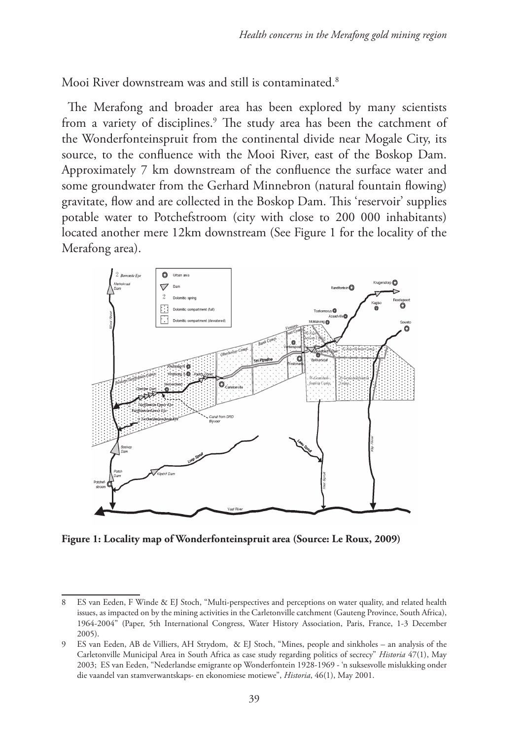Mooi River downstream was and still is contaminated.8

The Merafong and broader area has been explored by many scientists from a variety of disciplines.9 The study area has been the catchment of the Wonderfonteinspruit from the continental divide near Mogale City, its source, to the confluence with the Mooi River, east of the Boskop Dam. Approximately 7 km downstream of the confluence the surface water and some groundwater from the Gerhard Minnebron (natural fountain flowing) gravitate, flow and are collected in the Boskop Dam. This 'reservoir' supplies potable water to Potchefstroom (city with close to 200 000 inhabitants) located another mere 12km downstream (See Figure 1 for the locality of the Merafong area).



**Figure 1: Locality map of Wonderfonteinspruit area (Source: Le Roux, 2009)** 

<sup>8</sup> ES van Eeden, F Winde & EJ Stoch, "Multi-perspectives and perceptions on water quality, and related health issues, as impacted on by the mining activities in the Carletonville catchment (Gauteng Province, South Africa), 1964-2004" (Paper, 5th International Congress, Water History Association, Paris, France, 1-3 December 2005).

<sup>9</sup> ES van Eeden, AB de Villiers, AH Strydom, & EJ Stoch, "Mines, people and sinkholes – an analysis of the Carletonville Municipal Area in South Africa as case study regarding politics of secrecy" *Historia* 47(1), May 2003; ES van Eeden, "Nederlandse emigrante op Wonderfontein 1928-1969 - 'n suksesvolle mislukking onder die vaandel van stamverwantskaps- en ekonomiese motiewe", *Historia*, 46(1), May 2001.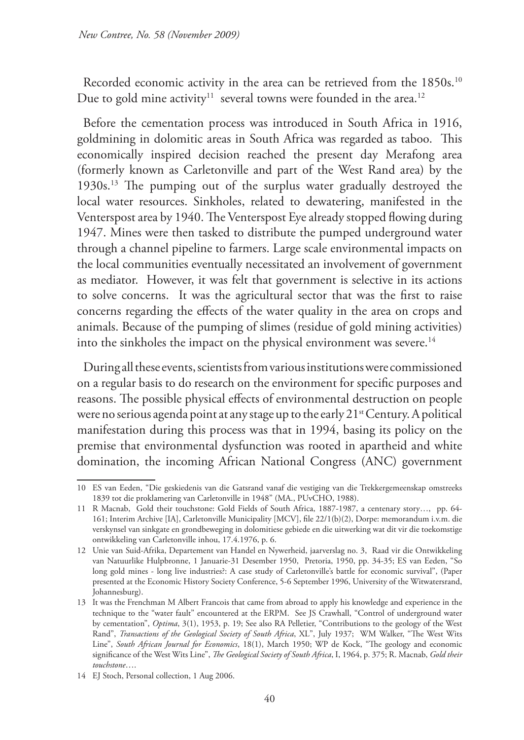Recorded economic activity in the area can be retrieved from the 1850s.<sup>10</sup> Due to gold mine activity<sup>11</sup> several towns were founded in the area.<sup>12</sup>

Before the cementation process was introduced in South Africa in 1916, goldmining in dolomitic areas in South Africa was regarded as taboo. This economically inspired decision reached the present day Merafong area (formerly known as Carletonville and part of the West Rand area) by the 1930s.13 The pumping out of the surplus water gradually destroyed the local water resources. Sinkholes, related to dewatering, manifested in the Venterspost area by 1940. The Venterspost Eye already stopped flowing during 1947. Mines were then tasked to distribute the pumped underground water through a channel pipeline to farmers. Large scale environmental impacts on the local communities eventually necessitated an involvement of government as mediator. However, it was felt that government is selective in its actions to solve concerns. It was the agricultural sector that was the first to raise concerns regarding the effects of the water quality in the area on crops and animals. Because of the pumping of slimes (residue of gold mining activities) into the sinkholes the impact on the physical environment was severe.<sup>14</sup>

During all these events, scientists from various institutions were commissioned on a regular basis to do research on the environment for specific purposes and reasons. The possible physical effects of environmental destruction on people were no serious agenda point at any stage up to the early 21<sup>st</sup> Century. A political manifestation during this process was that in 1994, basing its policy on the premise that environmental dysfunction was rooted in apartheid and white domination, the incoming African National Congress (ANC) government

<sup>10</sup> ES van Eeden, "Die geskiedenis van die Gatsrand vanaf die vestiging van die Trekkergemeenskap omstreeks 1839 tot die proklamering van Carletonville in 1948" (MA., PUvCHO, 1988).

<sup>11</sup> R Macnab, Gold their touchstone: Gold Fields of South Africa, 1887-1987, a centenary story…, pp. 64- 161; Interim Archive [IA], Carletonville Municipality [MCV], file 22/1(b)(2), Dorpe: memorandum i.v.m. die verskynsel van sinkgate en grondbeweging in dolomitiese gebiede en die uitwerking wat dit vir die toekomstige ontwikkeling van Carletonville inhou, 17.4.1976, p. 6.

<sup>12</sup> Unie van Suid-Afrika, Departement van Handel en Nywerheid, jaarverslag no. 3, Raad vir die Ontwikkeling van Natuurlike Hulpbronne, 1 Januarie-31 Desember 1950, Pretoria, 1950, pp. 34-35; ES van Eeden, "So long gold mines - long live industries?: A case study of Carletonville's battle for economic survival", (Paper presented at the Economic History Society Conference, 5-6 September 1996, University of the Witwatersrand, Johannesburg).

<sup>13</sup> It was the Frenchman M Albert Francois that came from abroad to apply his knowledge and experience in the technique to the "water fault" encountered at the ERPM. See JS Crawhall, "Control of underground water by cementation", *Optima*, 3(1), 1953, p. 19; See also RA Pelletier, "Contributions to the geology of the West Rand", *Transactions of the Geological Society of South Africa*, XL", July 1937; WM Walker, "The West Wits Line", *South African Journal for Economics*, 18(1), March 1950; WP de Kock, "The geology and economic significance of the West Wits Line", *The Geological Society of South Africa*, I, 1964, p. 375; R. Macnab, *Gold their touchstone*….

<sup>14</sup> EJ Stoch, Personal collection, 1 Aug 2006.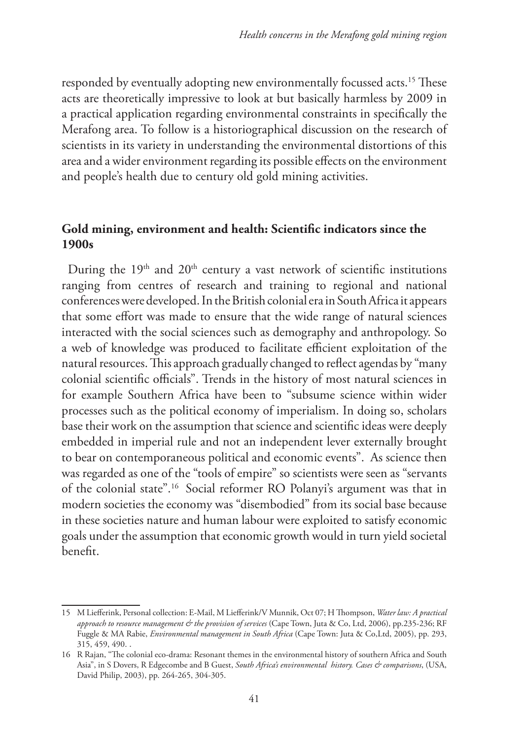responded by eventually adopting new environmentally focussed acts.<sup>15</sup> These acts are theoretically impressive to look at but basically harmless by 2009 in a practical application regarding environmental constraints in specifically the Merafong area. To follow is a historiographical discussion on the research of scientists in its variety in understanding the environmental distortions of this area and a wider environment regarding its possible effects on the environment and people's health due to century old gold mining activities.

## **Gold mining, environment and health: Scientific indicators since the 1900s**

During the  $19<sup>th</sup>$  and  $20<sup>th</sup>$  century a vast network of scientific institutions ranging from centres of research and training to regional and national conferences were developed. In the British colonial era in South Africa it appears that some effort was made to ensure that the wide range of natural sciences interacted with the social sciences such as demography and anthropology. So a web of knowledge was produced to facilitate efficient exploitation of the natural resources. This approach gradually changed to reflect agendas by "many colonial scientific officials". Trends in the history of most natural sciences in for example Southern Africa have been to "subsume science within wider processes such as the political economy of imperialism. In doing so, scholars base their work on the assumption that science and scientific ideas were deeply embedded in imperial rule and not an independent lever externally brought to bear on contemporaneous political and economic events". As science then was regarded as one of the "tools of empire" so scientists were seen as "servants of the colonial state".16 Social reformer RO Polanyi's argument was that in modern societies the economy was "disembodied" from its social base because in these societies nature and human labour were exploited to satisfy economic goals under the assumption that economic growth would in turn yield societal benefit.

<sup>15</sup> M Liefferink, Personal collection: E-Mail, M Liefferink/V Munnik, Oct 07; H Thompson, *Water law: A practical approach to resource management & the provision of services* (Cape Town, Juta & Co, Ltd, 2006), pp.235-236; RF Fuggle & MA Rabie, *Environmental management in South Africa* (Cape Town: Juta & Co,Ltd, 2005), pp. 293, 315, 459, 490. .

<sup>16</sup> R Rajan, "The colonial eco-drama: Resonant themes in the environmental history of southern Africa and South Asia", in S Dovers, R Edgecombe and B Guest, *South Africa's environmental history. Cases & comparisons*, (USA, David Philip, 2003), pp. 264-265, 304-305.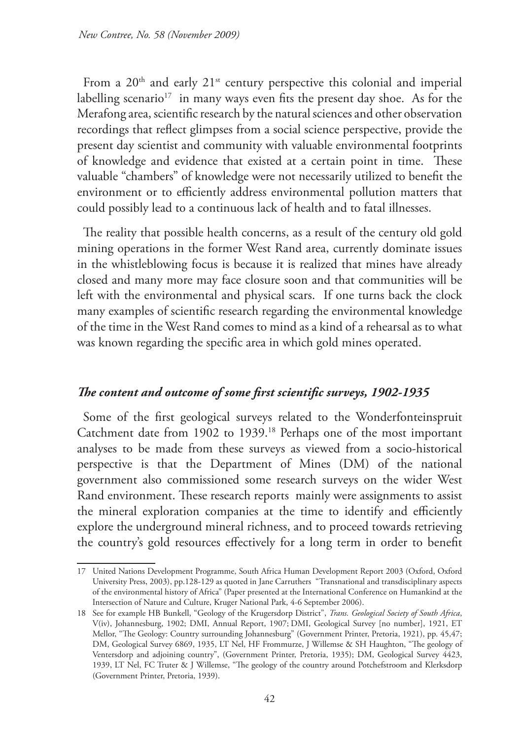From a  $20<sup>th</sup>$  and early  $21<sup>st</sup>$  century perspective this colonial and imperial labelling scenario<sup>17</sup> in many ways even fits the present day shoe. As for the Merafong area, scientific research by the natural sciences and other observation recordings that reflect glimpses from a social science perspective, provide the present day scientist and community with valuable environmental footprints of knowledge and evidence that existed at a certain point in time. These valuable "chambers" of knowledge were not necessarily utilized to benefit the environment or to efficiently address environmental pollution matters that could possibly lead to a continuous lack of health and to fatal illnesses.

The reality that possible health concerns, as a result of the century old gold mining operations in the former West Rand area, currently dominate issues in the whistleblowing focus is because it is realized that mines have already closed and many more may face closure soon and that communities will be left with the environmental and physical scars. If one turns back the clock many examples of scientific research regarding the environmental knowledge of the time in the West Rand comes to mind as a kind of a rehearsal as to what was known regarding the specific area in which gold mines operated.

### *The content and outcome of some first scientific surveys, 1902-1935*

Some of the first geological surveys related to the Wonderfonteinspruit Catchment date from 1902 to 1939.18 Perhaps one of the most important analyses to be made from these surveys as viewed from a socio-historical perspective is that the Department of Mines (DM) of the national government also commissioned some research surveys on the wider West Rand environment. These research reports mainly were assignments to assist the mineral exploration companies at the time to identify and efficiently explore the underground mineral richness, and to proceed towards retrieving the country's gold resources effectively for a long term in order to benefit

<sup>17</sup> United Nations Development Programme, South Africa Human Development Report 2003 (Oxford, Oxford University Press, 2003), pp.128-129 as quoted in Jane Carruthers "Transnational and transdisciplinary aspects of the environmental history of Africa" (Paper presented at the International Conference on Humankind at the Intersection of Nature and Culture, Kruger National Park, 4-6 September 2006).

<sup>18</sup> See for example HB Bunkell, "Geology of the Krugersdorp District", *Trans. Geological Society of South Africa*, V(iv), Johannesburg, 1902; DMI, Annual Report, 1907; DMI, Geological Survey [no number], 1921, ET Mellor, "The Geology: Country surrounding Johannesburg" (Government Printer, Pretoria, 1921), pp. 45,47; DM, Geological Survey 6869, 1935, LT Nel, HF Frommurze, J Willemse & SH Haughton, "The geology of Ventersdorp and adjoining country", (Government Printer, Pretoria, 1935); DM, Geological Survey 4423, 1939, LT Nel, FC Truter & J Willemse, "The geology of the country around Potchefstroom and Klerksdorp (Government Printer, Pretoria, 1939).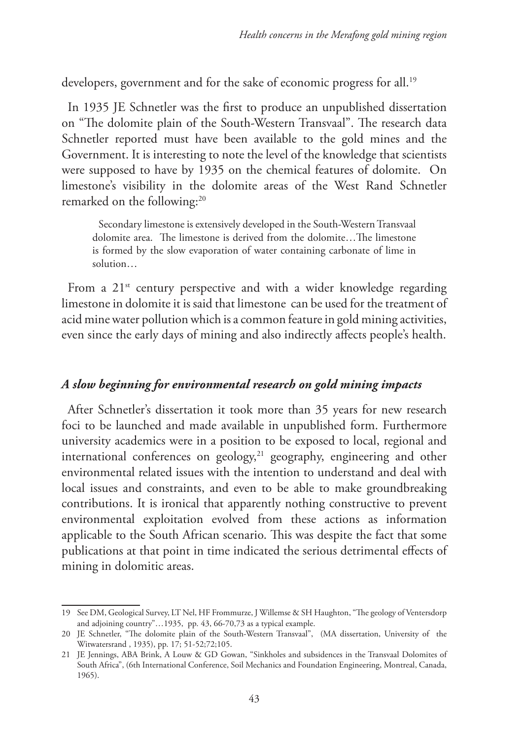developers, government and for the sake of economic progress for all.<sup>19</sup>

In 1935 JE Schnetler was the first to produce an unpublished dissertation on "The dolomite plain of the South-Western Transvaal". The research data Schnetler reported must have been available to the gold mines and the Government. It is interesting to note the level of the knowledge that scientists were supposed to have by 1935 on the chemical features of dolomite. On limestone's visibility in the dolomite areas of the West Rand Schnetler remarked on the following:<sup>20</sup>

Secondary limestone is extensively developed in the South-Western Transvaal dolomite area. The limestone is derived from the dolomite…The limestone is formed by the slow evaporation of water containing carbonate of lime in solution…

From a  $21^{st}$  century perspective and with a wider knowledge regarding limestone in dolomite it is said that limestone can be used for the treatment of acid mine water pollution which is a common feature in gold mining activities, even since the early days of mining and also indirectly affects people's health.

### *A slow beginning for environmental research on gold mining impacts*

After Schnetler's dissertation it took more than 35 years for new research foci to be launched and made available in unpublished form. Furthermore university academics were in a position to be exposed to local, regional and international conferences on geology, $21$  geography, engineering and other environmental related issues with the intention to understand and deal with local issues and constraints, and even to be able to make groundbreaking contributions. It is ironical that apparently nothing constructive to prevent environmental exploitation evolved from these actions as information applicable to the South African scenario. This was despite the fact that some publications at that point in time indicated the serious detrimental effects of mining in dolomitic areas.

<sup>19</sup> See DM, Geological Survey, LT Nel, HF Frommurze, J Willemse & SH Haughton, "The geology of Ventersdorp and adjoining country"…1935, pp. 43, 66-70,73 as a typical example.

<sup>20</sup> JE Schnetler, "The dolomite plain of the South-Western Transvaal", (MA dissertation, University of the Witwatersrand , 1935), pp. 17; 51-52;72;105.

<sup>21</sup> JE Jennings, ABA Brink, A Louw & GD Gowan, "Sinkholes and subsidences in the Transvaal Dolomites of South Africa", (6th International Conference, Soil Mechanics and Foundation Engineering, Montreal, Canada, 1965).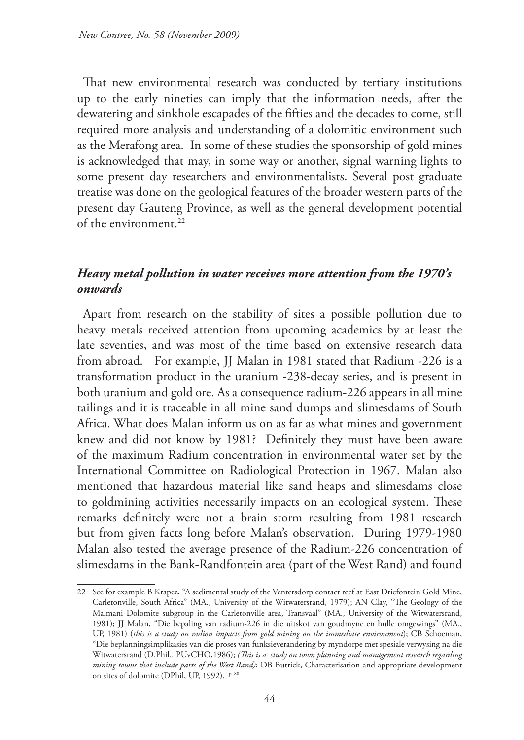That new environmental research was conducted by tertiary institutions up to the early nineties can imply that the information needs, after the dewatering and sinkhole escapades of the fifties and the decades to come, still required more analysis and understanding of a dolomitic environment such as the Merafong area. In some of these studies the sponsorship of gold mines is acknowledged that may, in some way or another, signal warning lights to some present day researchers and environmentalists. Several post graduate treatise was done on the geological features of the broader western parts of the present day Gauteng Province, as well as the general development potential of the environment.22

# *Heavy metal pollution in water receives more attention from the 1970's onwards*

Apart from research on the stability of sites a possible pollution due to heavy metals received attention from upcoming academics by at least the late seventies, and was most of the time based on extensive research data from abroad. For example, JJ Malan in 1981 stated that Radium -226 is a transformation product in the uranium -238-decay series, and is present in both uranium and gold ore. As a consequence radium-226 appears in all mine tailings and it is traceable in all mine sand dumps and slimesdams of South Africa. What does Malan inform us on as far as what mines and government knew and did not know by 1981? Definitely they must have been aware of the maximum Radium concentration in environmental water set by the International Committee on Radiological Protection in 1967. Malan also mentioned that hazardous material like sand heaps and slimesdams close to goldmining activities necessarily impacts on an ecological system. These remarks definitely were not a brain storm resulting from 1981 research but from given facts long before Malan's observation. During 1979-1980 Malan also tested the average presence of the Radium-226 concentration of slimesdams in the Bank-Randfontein area (part of the West Rand) and found

<sup>22</sup> See for example B Krapez, "A sedimental study of the Ventersdorp contact reef at East Driefontein Gold Mine, Carletonville, South Africa" (MA., University of the Witwatersrand, 1979); AN Clay, "The Geology of the Malmani Dolomite subgroup in the Carletonville area, Transvaal" (MA., University of the Witwatersrand, 1981); JJ Malan, "Die bepaling van radium-226 in die uitskot van goudmyne en hulle omgewings" (MA., UP, 1981) (*this is a study on radion impacts from gold mining on the immediate environment*); CB Schoeman, "Die beplanningsimplikasies van die proses van funksieverandering by myndorpe met spesiale verwysing na die Witwatersrand (D.Phil.. PUvCHO,1986); *(This is a study on town planning and management research regarding mining towns that include parts of the West Rand)*; DB Butrick, Characterisation and appropriate development on sites of dolomite (DPhil, UP, 1992). p. 80.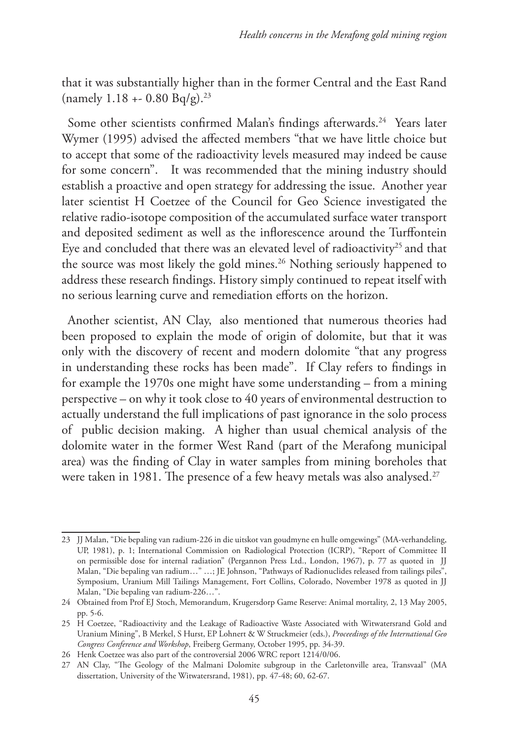that it was substantially higher than in the former Central and the East Rand (namely 1.18 + - 0.80 Bq/g).<sup>23</sup>

Some other scientists confirmed Malan's findings afterwards.<sup>24</sup> Years later Wymer (1995) advised the affected members "that we have little choice but to accept that some of the radioactivity levels measured may indeed be cause for some concern". It was recommended that the mining industry should establish a proactive and open strategy for addressing the issue. Another year later scientist H Coetzee of the Council for Geo Science investigated the relative radio-isotope composition of the accumulated surface water transport and deposited sediment as well as the inflorescence around the Turffontein Eye and concluded that there was an elevated level of radioactivity<sup>25</sup> and that the source was most likely the gold mines.<sup>26</sup> Nothing seriously happened to address these research findings. History simply continued to repeat itself with no serious learning curve and remediation efforts on the horizon.

Another scientist, AN Clay, also mentioned that numerous theories had been proposed to explain the mode of origin of dolomite, but that it was only with the discovery of recent and modern dolomite "that any progress in understanding these rocks has been made". If Clay refers to findings in for example the 1970s one might have some understanding – from a mining perspective – on why it took close to 40 years of environmental destruction to actually understand the full implications of past ignorance in the solo process of public decision making. A higher than usual chemical analysis of the dolomite water in the former West Rand (part of the Merafong municipal area) was the finding of Clay in water samples from mining boreholes that were taken in 1981. The presence of a few heavy metals was also analysed.<sup>27</sup>

<sup>23</sup> JJ Malan, "Die bepaling van radium-226 in die uitskot van goudmyne en hulle omgewings" (MA-verhandeling, UP, 1981), p. 1; International Commission on Radiological Protection (ICRP), "Report of Committee II on permissible dose for internal radiation" (Pergannon Press Ltd., London, 1967), p. 77 as quoted in JJ Malan, "Die bepaling van radium…" …; JE Johnson, "Pathways of Radionuclides released from tailings piles", Symposium, Uranium Mill Tailings Management, Fort Collins, Colorado, November 1978 as quoted in JJ Malan, "Die bepaling van radium-226…".

<sup>24</sup> Obtained from Prof EJ Stoch, Memorandum, Krugersdorp Game Reserve: Animal mortality, 2, 13 May 2005, pp. 5-6.

<sup>25</sup> H Coetzee, "Radioactivity and the Leakage of Radioactive Waste Associated with Witwatersrand Gold and Uranium Mining", B Merkel, S Hurst, EP Lohnert & W Struckmeier (eds.), *Proceedings of the International Geo Congress Conference and Workshop*, Freiberg Germany, October 1995, pp. 34-39.

<sup>26</sup> Henk Coetzee was also part of the controversial 2006 WRC report 1214/0/06.

<sup>27</sup> AN Clay, "The Geology of the Malmani Dolomite subgroup in the Carletonville area, Transvaal" (MA dissertation, University of the Witwatersrand, 1981), pp. 47-48; 60, 62-67.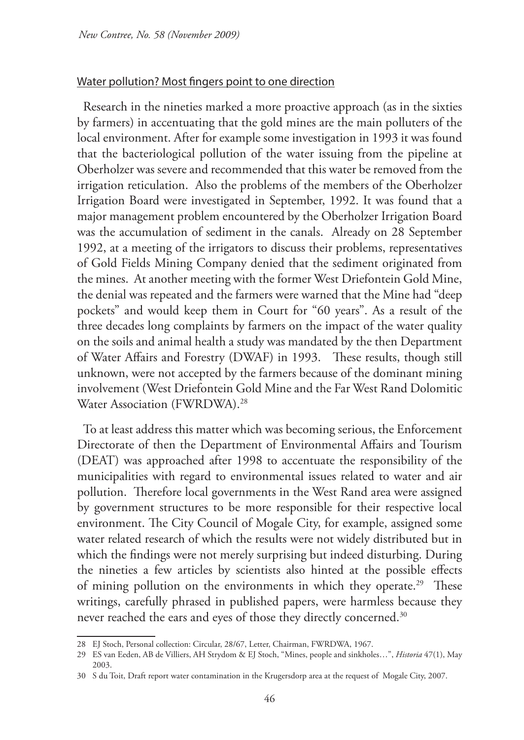#### Water pollution? Most fingers point to one direction

Research in the nineties marked a more proactive approach (as in the sixties by farmers) in accentuating that the gold mines are the main polluters of the local environment. After for example some investigation in 1993 it was found that the bacteriological pollution of the water issuing from the pipeline at Oberholzer was severe and recommended that this water be removed from the irrigation reticulation. Also the problems of the members of the Oberholzer Irrigation Board were investigated in September, 1992. It was found that a major management problem encountered by the Oberholzer Irrigation Board was the accumulation of sediment in the canals. Already on 28 September 1992, at a meeting of the irrigators to discuss their problems, representatives of Gold Fields Mining Company denied that the sediment originated from the mines. At another meeting with the former West Driefontein Gold Mine, the denial was repeated and the farmers were warned that the Mine had "deep pockets" and would keep them in Court for "60 years". As a result of the three decades long complaints by farmers on the impact of the water quality on the soils and animal health a study was mandated by the then Department of Water Affairs and Forestry (DWAF) in 1993. These results, though still unknown, were not accepted by the farmers because of the dominant mining involvement (West Driefontein Gold Mine and the Far West Rand Dolomitic Water Association (FWRDWA).28

To at least address this matter which was becoming serious, the Enforcement Directorate of then the Department of Environmental Affairs and Tourism (DEAT) was approached after 1998 to accentuate the responsibility of the municipalities with regard to environmental issues related to water and air pollution. Therefore local governments in the West Rand area were assigned by government structures to be more responsible for their respective local environment. The City Council of Mogale City, for example, assigned some water related research of which the results were not widely distributed but in which the findings were not merely surprising but indeed disturbing. During the nineties a few articles by scientists also hinted at the possible effects of mining pollution on the environments in which they operate.<sup>29</sup> These writings, carefully phrased in published papers, were harmless because they never reached the ears and eyes of those they directly concerned.<sup>30</sup>

<sup>28</sup> EJ Stoch, Personal collection: Circular, 28/67, Letter, Chairman, FWRDWA, 1967.

<sup>29</sup> ES van Eeden, AB de Villiers, AH Strydom & EJ Stoch, "Mines, people and sinkholes…", *Historia* 47(1), May 2003.

<sup>30</sup> S du Toit, Draft report water contamination in the Krugersdorp area at the request of Mogale City, 2007.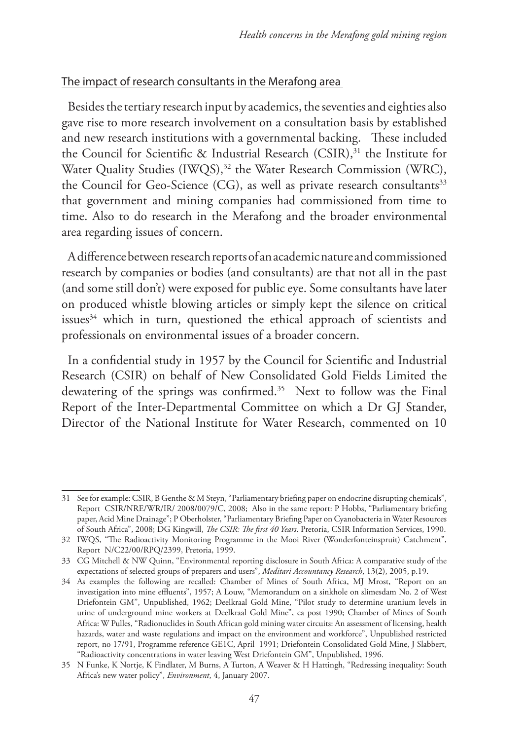### The impact of research consultants in the Merafong area

Besides the tertiary research input by academics, the seventies and eighties also gave rise to more research involvement on a consultation basis by established and new research institutions with a governmental backing. These included the Council for Scientific & Industrial Research (CSIR),<sup>31</sup> the Institute for Water Quality Studies (IWQS),<sup>32</sup> the Water Research Commission (WRC), the Council for Geo-Science (CG), as well as private research consultants<sup>33</sup> that government and mining companies had commissioned from time to time. Also to do research in the Merafong and the broader environmental area regarding issues of concern.

A difference between research reports of an academic nature and commissioned research by companies or bodies (and consultants) are that not all in the past (and some still don't) were exposed for public eye. Some consultants have later on produced whistle blowing articles or simply kept the silence on critical issues<sup>34</sup> which in turn, questioned the ethical approach of scientists and professionals on environmental issues of a broader concern.

In a confidential study in 1957 by the Council for Scientific and Industrial Research (CSIR) on behalf of New Consolidated Gold Fields Limited the dewatering of the springs was confirmed.<sup>35</sup> Next to follow was the Final Report of the Inter-Departmental Committee on which a Dr GJ Stander, Director of the National Institute for Water Research, commented on 10

<sup>31</sup> See for example: CSIR, B Genthe & M Steyn, "Parliamentary briefing paper on endocrine disrupting chemicals", Report CSIR/NRE/WR/IR/ 2008/0079/C, 2008; Also in the same report: P Hobbs, "Parliamentary briefing paper, Acid Mine Drainage"; P Oberholster, "Parliamentary Briefing Paper on Cyanobacteria in Water Resources of South Africa", 2008; DG Kingwill, *The CSIR: The first 40 Years*. Pretoria, CSIR Information Services, 1990.

<sup>32</sup> IWQS, "The Radioactivity Monitoring Programme in the Mooi River (Wonderfonteinspruit) Catchment", Report N/C22/00/RPQ/2399, Pretoria, 1999.

<sup>33</sup> CG Mitchell & NW Quinn, "Environmental reporting disclosure in South Africa: A comparative study of the expectations of selected groups of preparers and users", *Meditari Accountancy Research*, 13(2), 2005, p.19.

<sup>34</sup> As examples the following are recalled: Chamber of Mines of South Africa, MJ Mrost, "Report on an investigation into mine effluents", 1957; A Louw, "Memorandum on a sinkhole on slimesdam No. 2 of West Driefontein GM", Unpublished, 1962; Deelkraal Gold Mine, "Pilot study to determine uranium levels in urine of underground mine workers at Deelkraal Gold Mine", ca post 1990; Chamber of Mines of South Africa: W Pulles, "Radionuclides in South African gold mining water circuits: An assessment of licensing, health hazards, water and waste regulations and impact on the environment and workforce", Unpublished restricted report, no 17/91, Programme reference GE1C, April 1991; Driefontein Consolidated Gold Mine, J Slabbert, "Radioactivity concentrations in water leaving West Driefontein GM", Unpublished, 1996.

<sup>35</sup> N Funke, K Nortje, K Findlater, M Burns, A Turton, A Weaver & H Hattingh, "Redressing inequality: South Africa's new water policy", *Environment*, 4, January 2007.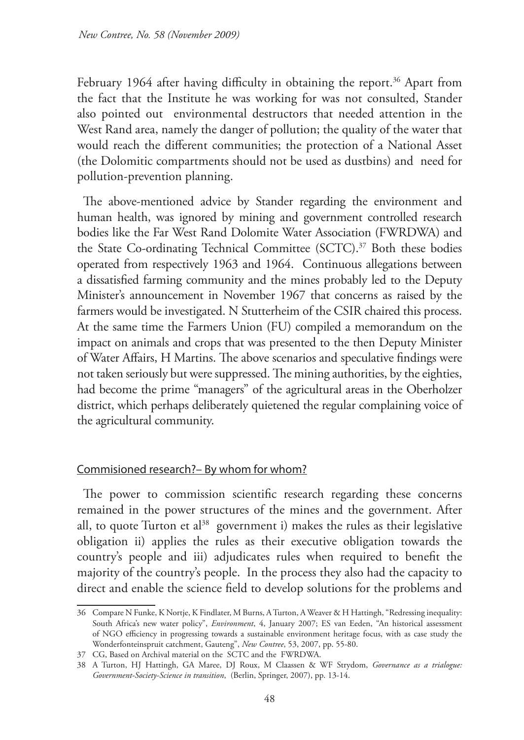February 1964 after having difficulty in obtaining the report.<sup>36</sup> Apart from the fact that the Institute he was working for was not consulted, Stander also pointed out environmental destructors that needed attention in the West Rand area, namely the danger of pollution; the quality of the water that would reach the different communities; the protection of a National Asset (the Dolomitic compartments should not be used as dustbins) and need for pollution-prevention planning.

The above-mentioned advice by Stander regarding the environment and human health, was ignored by mining and government controlled research bodies like the Far West Rand Dolomite Water Association (FWRDWA) and the State Co-ordinating Technical Committee (SCTC).<sup>37</sup> Both these bodies operated from respectively 1963 and 1964. Continuous allegations between a dissatisfied farming community and the mines probably led to the Deputy Minister's announcement in November 1967 that concerns as raised by the farmers would be investigated. N Stutterheim of the CSIR chaired this process. At the same time the Farmers Union (FU) compiled a memorandum on the impact on animals and crops that was presented to the then Deputy Minister of Water Affairs, H Martins. The above scenarios and speculative findings were not taken seriously but were suppressed. The mining authorities, by the eighties, had become the prime "managers" of the agricultural areas in the Oberholzer district, which perhaps deliberately quietened the regular complaining voice of the agricultural community.

# Commisioned research?– By whom for whom?

The power to commission scientific research regarding these concerns remained in the power structures of the mines and the government. After all, to quote Turton et al<sup>38</sup> government i) makes the rules as their legislative obligation ii) applies the rules as their executive obligation towards the country's people and iii) adjudicates rules when required to benefit the majority of the country's people. In the process they also had the capacity to direct and enable the science field to develop solutions for the problems and

<sup>36</sup> Compare N Funke, K Nortje, K Findlater, M Burns, A Turton, A Weaver & H Hattingh, "Redressing inequality: South Africa's new water policy", *Environment*, 4, January 2007; ES van Eeden, "An historical assessment of NGO efficiency in progressing towards a sustainable environment heritage focus, with as case study the Wonderfonteinspruit catchment, Gauteng", *New Contree*, 53, 2007, pp. 55-80.

<sup>37</sup> CG, Based on Archival material on the SCTC and the FWRDWA.

<sup>38</sup> A Turton, HJ Hattingh, GA Maree, DJ Roux, M Claassen & WF Strydom, *Governance as a trialogue: Government-Society-Science in transition*, (Berlin, Springer, 2007), pp. 13-14.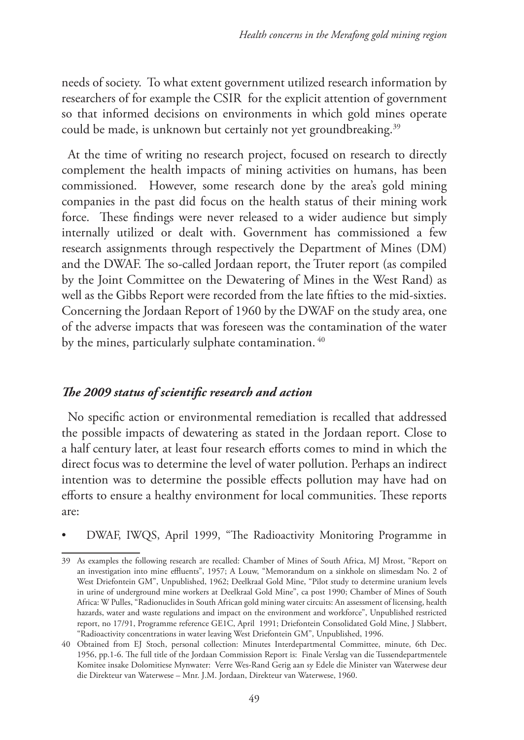needs of society. To what extent government utilized research information by researchers of for example the CSIR for the explicit attention of government so that informed decisions on environments in which gold mines operate could be made, is unknown but certainly not yet groundbreaking.<sup>39</sup>

At the time of writing no research project, focused on research to directly complement the health impacts of mining activities on humans, has been commissioned. However, some research done by the area's gold mining companies in the past did focus on the health status of their mining work force. These findings were never released to a wider audience but simply internally utilized or dealt with. Government has commissioned a few research assignments through respectively the Department of Mines (DM) and the DWAF. The so-called Jordaan report, the Truter report (as compiled by the Joint Committee on the Dewatering of Mines in the West Rand) as well as the Gibbs Report were recorded from the late fifties to the mid-sixties. Concerning the Jordaan Report of 1960 by the DWAF on the study area, one of the adverse impacts that was foreseen was the contamination of the water by the mines, particularly sulphate contamination.<sup>40</sup>

# *The 2009 status of scientific research and action*

No specific action or environmental remediation is recalled that addressed the possible impacts of dewatering as stated in the Jordaan report. Close to a half century later, at least four research efforts comes to mind in which the direct focus was to determine the level of water pollution. Perhaps an indirect intention was to determine the possible effects pollution may have had on efforts to ensure a healthy environment for local communities. These reports are:

• DWAF, IWQS, April 1999, "The Radioactivity Monitoring Programme in

<sup>39</sup> As examples the following research are recalled: Chamber of Mines of South Africa, MJ Mrost, "Report on an investigation into mine effluents", 1957; A Louw, "Memorandum on a sinkhole on slimesdam No. 2 of West Driefontein GM", Unpublished, 1962; Deelkraal Gold Mine, "Pilot study to determine uranium levels in urine of underground mine workers at Deelkraal Gold Mine", ca post 1990; Chamber of Mines of South Africa: W Pulles, "Radionuclides in South African gold mining water circuits: An assessment of licensing, health hazards, water and waste regulations and impact on the environment and workforce", Unpublished restricted report, no 17/91, Programme reference GE1C, April 1991; Driefontein Consolidated Gold Mine, J Slabbert, "Radioactivity concentrations in water leaving West Driefontein GM", Unpublished, 1996.

<sup>40</sup> Obtained from EJ Stoch, personal collection: Minutes Interdepartmental Committee, minute, 6th Dec. 1956, pp.1-6. The full title of the Jordaan Commission Report is: Finale Verslag van die Tussendepartmentele Komitee insake Dolomitiese Mynwater: Verre Wes-Rand Gerig aan sy Edele die Minister van Waterwese deur die Direkteur van Waterwese – Mnr. J.M. Jordaan, Direkteur van Waterwese, 1960.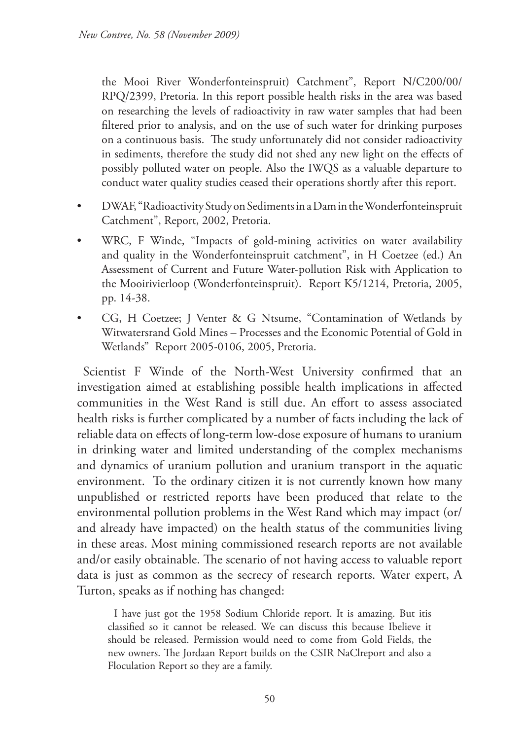the Mooi River Wonderfonteinspruit) Catchment", Report N/C200/00/ RPQ/2399, Pretoria. In this report possible health risks in the area was based on researching the levels of radioactivity in raw water samples that had been filtered prior to analysis, and on the use of such water for drinking purposes on a continuous basis. The study unfortunately did not consider radioactivity in sediments, therefore the study did not shed any new light on the effects of possibly polluted water on people. Also the IWQS as a valuable departure to conduct water quality studies ceased their operations shortly after this report.

- DWAF, "Radioactivity Study on Sediments in a Dam in the Wonderfonteinspruit Catchment", Report, 2002, Pretoria.
- WRC, F Winde, "Impacts of gold-mining activities on water availability and quality in the Wonderfonteinspruit catchment", in H Coetzee (ed.) An Assessment of Current and Future Water-pollution Risk with Application to the Mooirivierloop (Wonderfonteinspruit). Report K5/1214, Pretoria, 2005, pp. 14-38.
- CG, H Coetzee; J Venter & G Ntsume, "Contamination of Wetlands by Witwatersrand Gold Mines – Processes and the Economic Potential of Gold in Wetlands" Report 2005-0106, 2005, Pretoria.

Scientist F Winde of the North-West University confirmed that an investigation aimed at establishing possible health implications in affected communities in the West Rand is still due. An effort to assess associated health risks is further complicated by a number of facts including the lack of reliable data on effects of long-term low-dose exposure of humans to uranium in drinking water and limited understanding of the complex mechanisms and dynamics of uranium pollution and uranium transport in the aquatic environment. To the ordinary citizen it is not currently known how many unpublished or restricted reports have been produced that relate to the environmental pollution problems in the West Rand which may impact (or/ and already have impacted) on the health status of the communities living in these areas. Most mining commissioned research reports are not available and/or easily obtainable. The scenario of not having access to valuable report data is just as common as the secrecy of research reports. Water expert, A Turton, speaks as if nothing has changed:

I have just got the 1958 Sodium Chloride report. It is amazing. But itis classified so it cannot be released. We can discuss this because Ibelieve it should be released. Permission would need to come from Gold Fields, the new owners. The Jordaan Report builds on the CSIR NaClreport and also a Floculation Report so they are a family.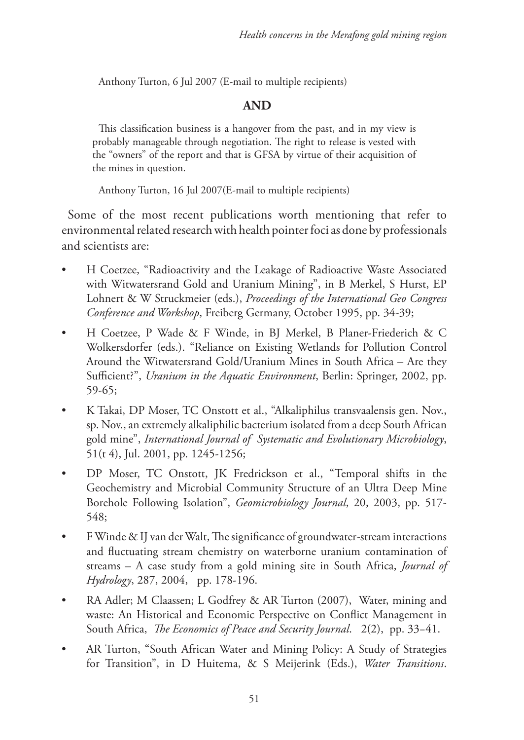Anthony Turton, 6 Jul 2007 (E-mail to multiple recipients)

# **AND**

This classification business is a hangover from the past, and in my view is probably manageable through negotiation. The right to release is vested with the "owners" of the report and that is GFSA by virtue of their acquisition of the mines in question.

Anthony Turton, 16 Jul 2007(E-mail to multiple recipients)

Some of the most recent publications worth mentioning that refer to environmental related research with health pointer foci as done by professionals and scientists are:

- H Coetzee, "Radioactivity and the Leakage of Radioactive Waste Associated with Witwatersrand Gold and Uranium Mining", in B Merkel, S Hurst, EP Lohnert & W Struckmeier (eds.), *Proceedings of the International Geo Congress Conference and Workshop*, Freiberg Germany, October 1995, pp. 34-39;
- H Coetzee, P Wade & F Winde, in BJ Merkel, B Planer-Friederich & C Wolkersdorfer (eds.). "Reliance on Existing Wetlands for Pollution Control Around the Witwatersrand Gold/Uranium Mines in South Africa – Are they Sufficient?", *Uranium in the Aquatic Environment*, Berlin: Springer, 2002, pp. 59-65;
- K Takai, DP Moser, TC Onstott et al., "Alkaliphilus transvaalensis gen. Nov., sp. Nov., an extremely alkaliphilic bacterium isolated from a deep South African gold mine", *International Journal of Systematic and Evolutionary Microbiology*, 51(t 4), Jul. 2001, pp. 1245-1256;
- DP Moser, TC Onstott, JK Fredrickson et al., "Temporal shifts in the Geochemistry and Microbial Community Structure of an Ultra Deep Mine Borehole Following Isolation", *Geomicrobiology Journal*, 20, 2003, pp. 517- 548;
- F Winde & IJ van der Walt, The significance of groundwater-stream interactions and fluctuating stream chemistry on waterborne uranium contamination of streams – A case study from a gold mining site in South Africa, *Journal of Hydrology*, 287, 2004, pp. 178-196.
- RA Adler; M Claassen; L Godfrey & AR Turton (2007), Water, mining and waste: An Historical and Economic Perspective on Conflict Management in South Africa, *The Economics of Peace and Security Journal*. 2(2), pp. 33−41.
- AR Turton, "South African Water and Mining Policy: A Study of Strategies for Transition", in D Huitema, & S Meijerink (Eds.), *Water Transitions*.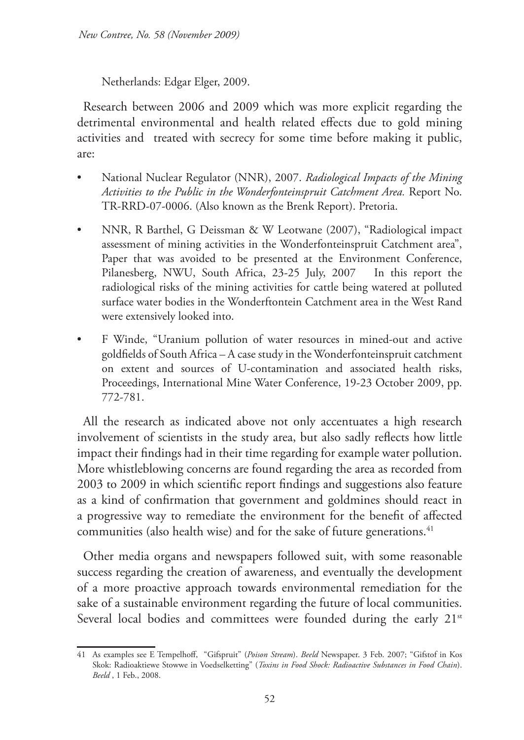Netherlands: Edgar Elger, 2009.

Research between 2006 and 2009 which was more explicit regarding the detrimental environmental and health related effects due to gold mining activities and treated with secrecy for some time before making it public, are:

- National Nuclear Regulator (NNR), 2007. *Radiological Impacts of the Mining Activities to the Public in the Wonderfonteinspruit Catchment Area.* Report No. TR-RRD-07-0006. (Also known as the Brenk Report). Pretoria.
- NNR, R Barthel, G Deissman & W Leotwane (2007), "Radiological impact assessment of mining activities in the Wonderfonteinspruit Catchment area", Paper that was avoided to be presented at the Environment Conference, Pilanesberg, NWU, South Africa, 23-25 July, 2007 In this report the radiological risks of the mining activities for cattle being watered at polluted surface water bodies in the Wonderftontein Catchment area in the West Rand were extensively looked into.
- F Winde, "Uranium pollution of water resources in mined-out and active goldfields of South Africa – A case study in the Wonderfonteinspruit catchment on extent and sources of U-contamination and associated health risks, Proceedings, International Mine Water Conference, 19-23 October 2009, pp. 772-781.

All the research as indicated above not only accentuates a high research involvement of scientists in the study area, but also sadly reflects how little impact their findings had in their time regarding for example water pollution. More whistleblowing concerns are found regarding the area as recorded from 2003 to 2009 in which scientific report findings and suggestions also feature as a kind of confirmation that government and goldmines should react in a progressive way to remediate the environment for the benefit of affected communities (also health wise) and for the sake of future generations.<sup>41</sup>

Other media organs and newspapers followed suit, with some reasonable success regarding the creation of awareness, and eventually the development of a more proactive approach towards environmental remediation for the sake of a sustainable environment regarding the future of local communities. Several local bodies and committees were founded during the early 21<sup>st</sup>

<sup>41</sup> As examples see E Tempelhoff, "Gifspruit" (*Poison Stream*). *Beeld* Newspaper. 3 Feb. 2007; "Gifstof in Kos Skok: Radioaktiewe Stowwe in Voedselketting" (*Toxins in Food Shock: Radioactive Substances in Food Chain*). *Beeld* , 1 Feb., 2008.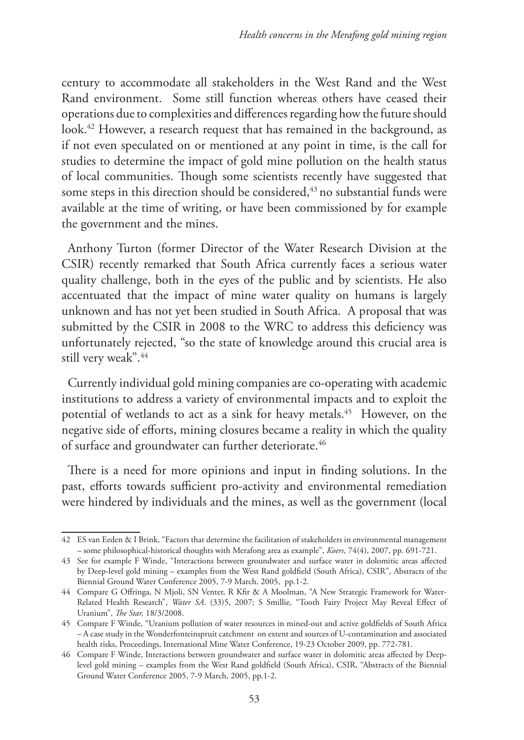century to accommodate all stakeholders in the West Rand and the West Rand environment. Some still function whereas others have ceased their operations due to complexities and differences regarding how the future should look.<sup>42</sup> However, a research request that has remained in the background, as if not even speculated on or mentioned at any point in time, is the call for studies to determine the impact of gold mine pollution on the health status of local communities. Though some scientists recently have suggested that some steps in this direction should be considered,<sup>43</sup> no substantial funds were available at the time of writing, or have been commissioned by for example the government and the mines.

Anthony Turton (former Director of the Water Research Division at the CSIR) recently remarked that South Africa currently faces a serious water quality challenge, both in the eyes of the public and by scientists. He also accentuated that the impact of mine water quality on humans is largely unknown and has not yet been studied in South Africa. A proposal that was submitted by the CSIR in 2008 to the WRC to address this deficiency was unfortunately rejected, "so the state of knowledge around this crucial area is still very weak".<sup>44</sup>

Currently individual gold mining companies are co-operating with academic institutions to address a variety of environmental impacts and to exploit the potential of wetlands to act as a sink for heavy metals.<sup>45</sup> However, on the negative side of efforts, mining closures became a reality in which the quality of surface and groundwater can further deteriorate.<sup>46</sup>

There is a need for more opinions and input in finding solutions. In the past, efforts towards sufficient pro-activity and environmental remediation were hindered by individuals and the mines, as well as the government (local

<sup>42</sup> ES van Eeden & I Brink, "Factors that determine the facilitation of stakeholders in environmental management – some philosophical-historical thoughts with Merafong area as example", *Koers*, 74(4), 2007, pp. 691-721.

<sup>43</sup> See for example F Winde, "Interactions between groundwater and surface water in dolomitic areas affected by Deep-level gold mining – examples from the West Rand goldfield (South Africa), CSIR", Abstracts of the Biennial Ground Water Conference 2005, 7-9 March, 2005, pp.1-2.

<sup>44</sup> Compare G Offringa, N Mjoli, SN Venter, R Kfir & A Moolman, "A New Strategic Framework for Water-Related Health Research", *Water SA*. (33)5, 2007; S Smillie, "Tooth Fairy Project May Reveal Effect of Uranium", *The Star,* 18/3/2008.

<sup>45</sup> Compare F Winde, "Uranium pollution of water resources in mined-out and active goldfields of South Africa – A case study in the Wonderfonteinspruit catchment on extent and sources of U-contamination and associated health risks, Proceedings, International Mine Water Conference, 19-23 October 2009, pp. 772-781.

<sup>46</sup> Compare F Winde, Interactions between groundwater and surface water in dolomitic areas affected by Deeplevel gold mining – examples from the West Rand goldfield (South Africa), CSIR, "Abstracts of the Biennial Ground Water Conference 2005, 7-9 March, 2005, pp.1-2.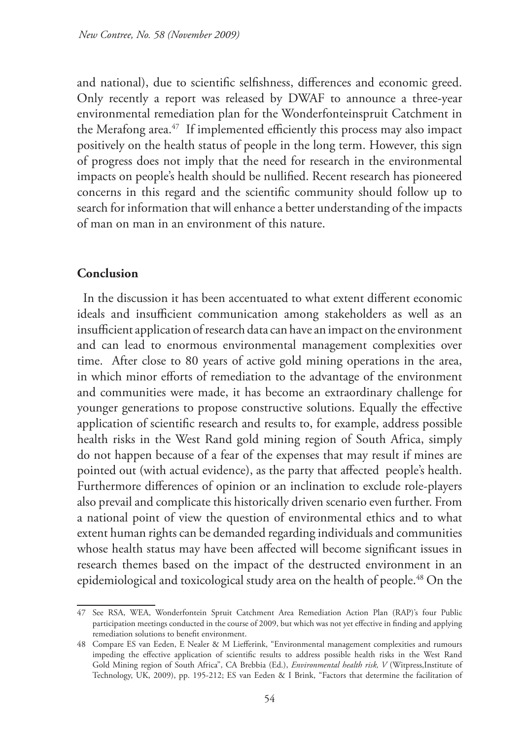and national), due to scientific selfishness, differences and economic greed. Only recently a report was released by DWAF to announce a three-year environmental remediation plan for the Wonderfonteinspruit Catchment in the Merafong area.<sup>47</sup> If implemented efficiently this process may also impact positively on the health status of people in the long term. However, this sign of progress does not imply that the need for research in the environmental impacts on people's health should be nullified. Recent research has pioneered concerns in this regard and the scientific community should follow up to search for information that will enhance a better understanding of the impacts of man on man in an environment of this nature.

### **Conclusion**

In the discussion it has been accentuated to what extent different economic ideals and insufficient communication among stakeholders as well as an insufficient application of research data can have an impact on the environment and can lead to enormous environmental management complexities over time. After close to 80 years of active gold mining operations in the area, in which minor efforts of remediation to the advantage of the environment and communities were made, it has become an extraordinary challenge for younger generations to propose constructive solutions. Equally the effective application of scientific research and results to, for example, address possible health risks in the West Rand gold mining region of South Africa, simply do not happen because of a fear of the expenses that may result if mines are pointed out (with actual evidence), as the party that affected people's health. Furthermore differences of opinion or an inclination to exclude role-players also prevail and complicate this historically driven scenario even further. From a national point of view the question of environmental ethics and to what extent human rights can be demanded regarding individuals and communities whose health status may have been affected will become significant issues in research themes based on the impact of the destructed environment in an epidemiological and toxicological study area on the health of people.<sup>48</sup> On the

<sup>47</sup> See RSA, WEA, Wonderfontein Spruit Catchment Area Remediation Action Plan (RAP)'s four Public participation meetings conducted in the course of 2009, but which was not yet effective in finding and applying remediation solutions to benefit environment.

<sup>48</sup> Compare ES van Eeden, E Nealer & M Liefferink, "Environmental management complexities and rumours impeding the effective application of scientific results to address possible health risks in the West Rand Gold Mining region of South Africa", CA Brebbia (Ed.), *Environmental health risk, V* (Witpress,Institute of Technology, UK, 2009), pp. 195-212; ES van Eeden & I Brink, "Factors that determine the facilitation of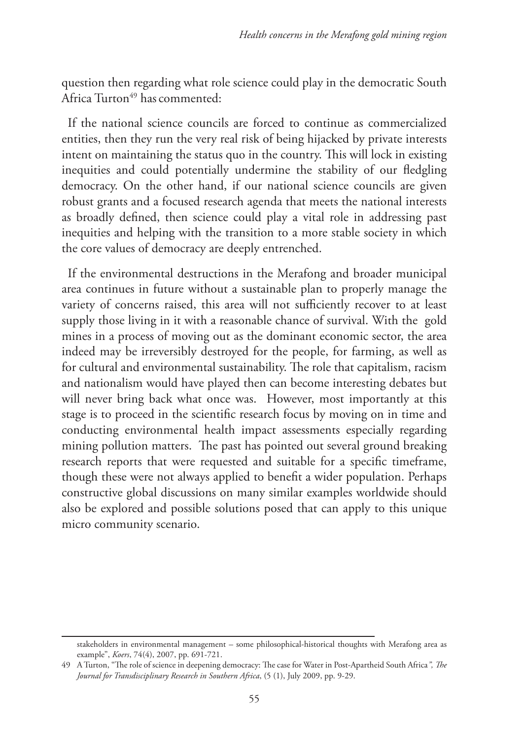question then regarding what role science could play in the democratic South Africa Turton $49$  has commented:

If the national science councils are forced to continue as commercialized entities, then they run the very real risk of being hijacked by private interests intent on maintaining the status quo in the country. This will lock in existing inequities and could potentially undermine the stability of our fledgling democracy. On the other hand, if our national science councils are given robust grants and a focused research agenda that meets the national interests as broadly defined, then science could play a vital role in addressing past inequities and helping with the transition to a more stable society in which the core values of democracy are deeply entrenched.

If the environmental destructions in the Merafong and broader municipal area continues in future without a sustainable plan to properly manage the variety of concerns raised, this area will not sufficiently recover to at least supply those living in it with a reasonable chance of survival. With the gold mines in a process of moving out as the dominant economic sector, the area indeed may be irreversibly destroyed for the people, for farming, as well as for cultural and environmental sustainability. The role that capitalism, racism and nationalism would have played then can become interesting debates but will never bring back what once was. However, most importantly at this stage is to proceed in the scientific research focus by moving on in time and conducting environmental health impact assessments especially regarding mining pollution matters. The past has pointed out several ground breaking research reports that were requested and suitable for a specific timeframe, though these were not always applied to benefit a wider population. Perhaps constructive global discussions on many similar examples worldwide should also be explored and possible solutions posed that can apply to this unique micro community scenario.

stakeholders in environmental management – some philosophical-historical thoughts with Merafong area as example", *Koers*, 74(4), 2007, pp. 691-721.

<sup>49</sup> A Turton, "The role of science in deepening democracy: The case for Water in Post-Apartheid South Africa*", The Journal for Transdisciplinary Research in Southern Africa*, (5 (1), July 2009, pp. 9-29.